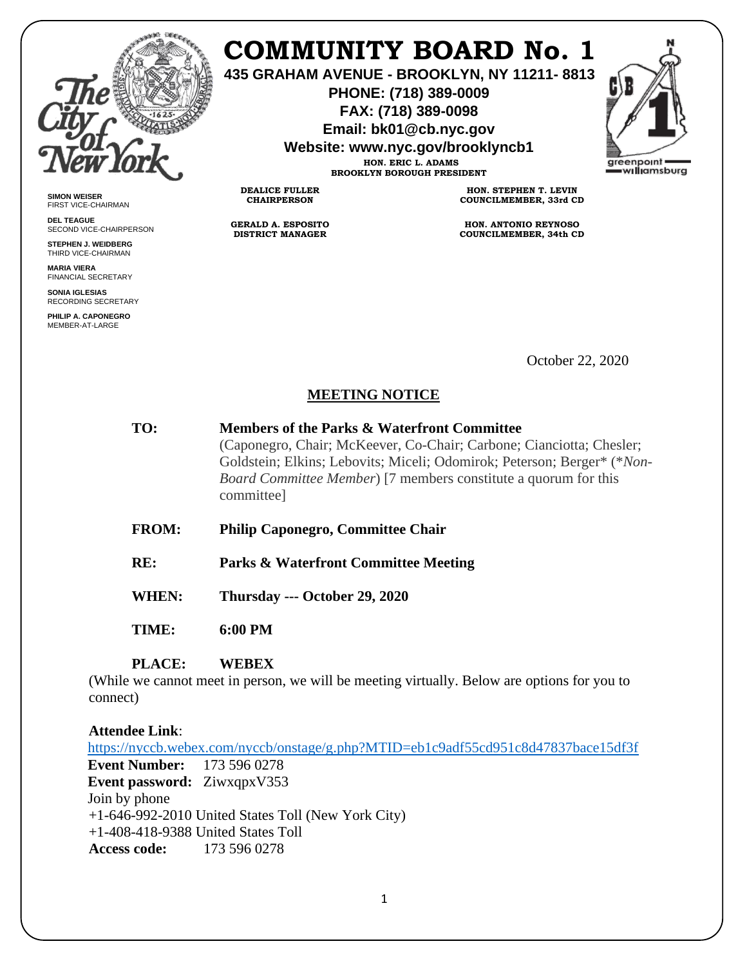

**SIMON WEISER** FIRST VICE-CHAIRMAN **DEL TEAGUE**

SECOND VICE-CHAIRPERSON **STEPHEN J. WEIDBERG** THIRD VICE-CHAIRMAN **MARIA VIERA** FINANCIAL SECRETARY **SONIA IGLESIAS** RECORDING SECRETARY **PHILIP A. CAPONEGRO** MEMBER-AT-LARGE

# **COMMUNITY BOARD No. 1**

**435 GRAHAM AVENUE - BROOKLYN, NY 11211- 8813**

**PHONE: (718) 389-0009 FAX: (718) 389-0098**

**Email: bk01@cb.nyc.gov**

**Website: www.nyc.gov/brooklyncb1 HON. ERIC L. ADAMS**

areenpoint williamsburg

**BROOKLYN BOROUGH PRESIDENT**

**DEALICE FULLER CHAIRPERSON**

**GERALD A. ESPOSITO DISTRICT MANAGER**

**HON. STEPHEN T. LEVIN COUNCILMEMBER, 33rd CD**

**HON. ANTONIO REYNOSO COUNCILMEMBER, 34th CD**

October 22, 2020

## **MEETING NOTICE**

| TO: | <b>Members of the Parks &amp; Waterfront Committee</b>                                |
|-----|---------------------------------------------------------------------------------------|
|     | (Caponegro, Chair; McKeever, Co-Chair; Carbone; Cianciotta; Chesler;                  |
|     | Goldstein; Elkins; Lebovits; Miceli; Odomirok; Peterson; Berger* (*Non-               |
|     | <i>Board Committee Member</i> ) [7 members constitute a quorum for this<br>committee] |
|     |                                                                                       |

**FROM: Philip Caponegro, Committee Chair**

**RE: Parks & Waterfront Committee Meeting**

**WHEN: Thursday --- October 29, 2020**

**TIME: 6:00 PM**

#### **PLACE: WEBEX**

(While we cannot meet in person, we will be meeting virtually. Below are options for you to connect)

### **Attendee Link**:

<https://nyccb.webex.com/nyccb/onstage/g.php?MTID=eb1c9adf55cd951c8d47837bace15df3f> **Event Number:** 173 596 0278 **Event password:** ZiwxqpxV353 Join by phone +1-646-992-2010 United States Toll (New York City) +1-408-418-9388 United States Toll **Access code:** 173 596 0278